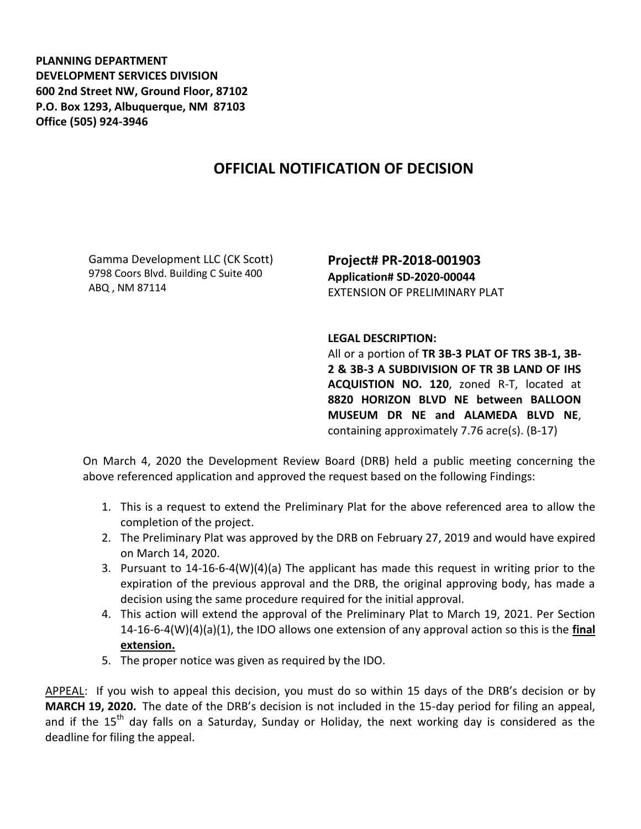**PLANNING DEPARTMENT DEVELOPMENT SERVICES DIVISION 600 2nd Street NW, Ground Floor, 87102 P.O. Box 1293, Albuquerque, NM 87103 Office (505) 924-3946** 

## **OFFICIAL NOTIFICATION OF DECISION**

Gamma Development LLC (CK Scott) 9798 Coors Blvd. Building C Suite 400 ABQ , NM 87114

**Project# PR-2018-001903 Application# SD-2020-00044** EXTENSION OF PRELIMINARY PLAT

## **LEGAL DESCRIPTION:**

All or a portion of **TR 3B-3 PLAT OF TRS 3B-1, 3B-2 & 3B-3 A SUBDIVISION OF TR 3B LAND OF IHS ACQUISTION NO. 120**, zoned R-T, located at **8820 HORIZON BLVD NE between BALLOON MUSEUM DR NE and ALAMEDA BLVD NE**, containing approximately 7.76 acre(s). (B-17)

On March 4, 2020 the Development Review Board (DRB) held a public meeting concerning the above referenced application and approved the request based on the following Findings:

- 1. This is a request to extend the Preliminary Plat for the above referenced area to allow the completion of the project.
- 2. The Preliminary Plat was approved by the DRB on February 27, 2019 and would have expired on March 14, 2020.
- 3. Pursuant to 14-16-6-4(W)(4)(a) The applicant has made this request in writing prior to the expiration of the previous approval and the DRB, the original approving body, has made a decision using the same procedure required for the initial approval.
- 4. This action will extend the approval of the Preliminary Plat to March 19, 2021. Per Section 14-16-6-4(W)(4)(a)(1), the IDO allows one extension of any approval action so this is the **final extension.**
- 5. The proper notice was given as required by the IDO.

APPEAL: If you wish to appeal this decision, you must do so within 15 days of the DRB's decision or by **MARCH 19, 2020.** The date of the DRB's decision is not included in the 15-day period for filing an appeal, and if the 15<sup>th</sup> day falls on a Saturday, Sunday or Holiday, the next working day is considered as the deadline for filing the appeal.